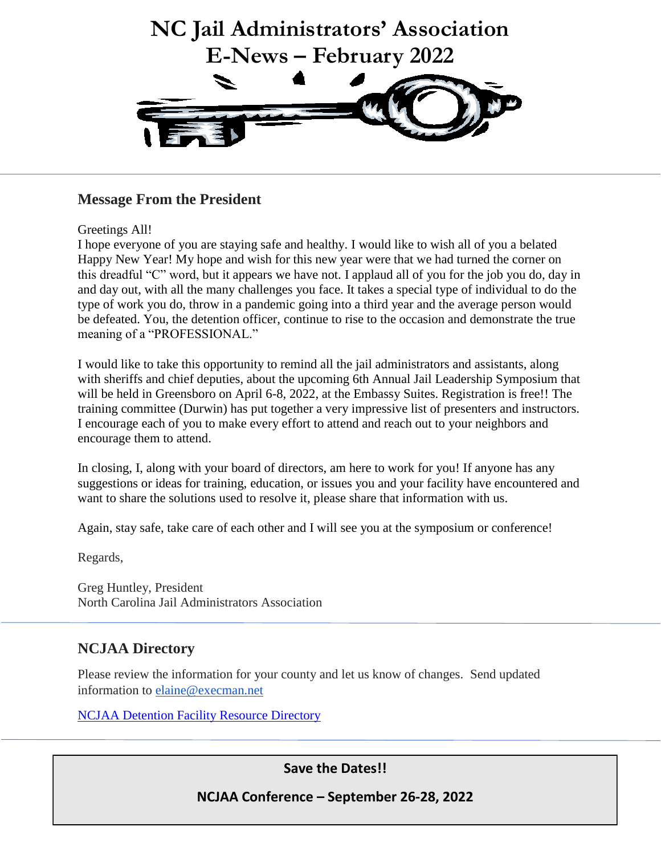

### **Message From the President**

### Greetings All!

I hope everyone of you are staying safe and healthy. I would like to wish all of you a belated Happy New Year! My hope and wish for this new year were that we had turned the corner on this dreadful "C" word, but it appears we have not. I applaud all of you for the job you do, day in and day out, with all the many challenges you face. It takes a special type of individual to do the type of work you do, throw in a pandemic going into a third year and the average person would be defeated. You, the detention officer, continue to rise to the occasion and demonstrate the true meaning of a "PROFESSIONAL."

I would like to take this opportunity to remind all the jail administrators and assistants, along with sheriffs and chief deputies, about the upcoming 6th Annual Jail Leadership Symposium that will be held in Greensboro on April 6-8, 2022, at the Embassy Suites. Registration is free!! The training committee (Durwin) has put together a very impressive list of presenters and instructors. I encourage each of you to make every effort to attend and reach out to your neighbors and encourage them to attend.

In closing, I, along with your board of directors, am here to work for you! If anyone has any suggestions or ideas for training, education, or issues you and your facility have encountered and want to share the solutions used to resolve it, please share that information with us.

Again, stay safe, take care of each other and I will see you at the symposium or conference!

Regards,

Greg Huntley, President North Carolina Jail Administrators Association

### **NCJAA Directory**

Please review the information for your county and let us know of changes. Send updated information to [elaine@execman.net](mailto:elaine@execman.net)

[NCJAA Detention Facility Resource Directory](https://ncjaa.org/contento/uploads/2014/02/NC-Jail-Administrators-Detention-Facility-Resource-Directory-2022..pdf)

**Save the Dates!!**

**NCJAA Conference – September 26-28, 2022**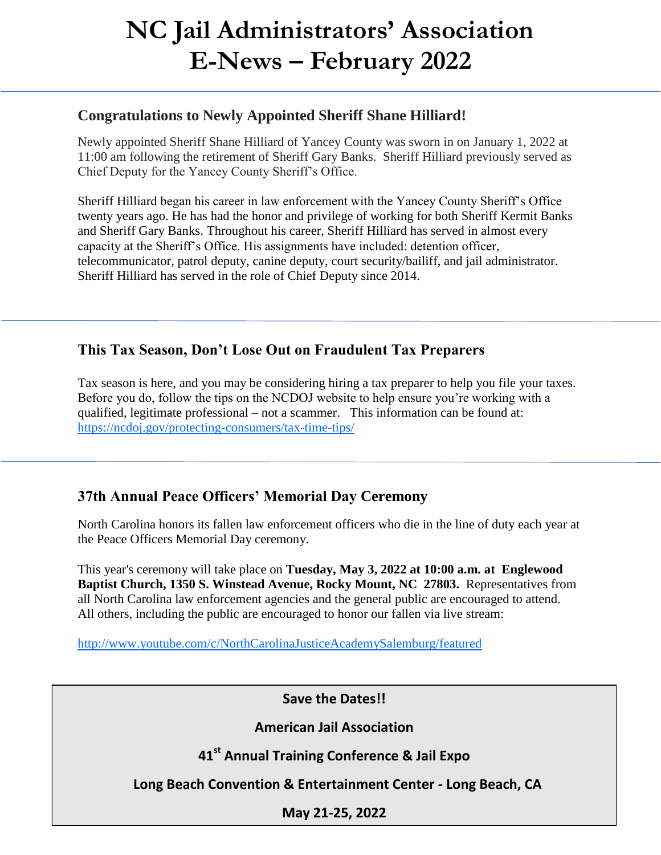# **NC Jail Administrators' Association E-News – February 2022**

### **Congratulations to Newly Appointed Sheriff Shane Hilliard!**

Newly appointed Sheriff Shane Hilliard of Yancey County was sworn in on January 1, 2022 at 11:00 am following the retirement of Sheriff Gary Banks. Sheriff Hilliard previously served as Chief Deputy for the Yancey County Sheriff's Office.

Sheriff Hilliard began his career in law enforcement with the Yancey County Sheriff's Office twenty years ago. He has had the honor and privilege of working for both Sheriff Kermit Banks and Sheriff Gary Banks. Throughout his career, Sheriff Hilliard has served in almost every capacity at the Sheriff's Office. His assignments have included: detention officer, telecommunicator, patrol deputy, canine deputy, court security/bailiff, and jail administrator. Sheriff Hilliard has served in the role of Chief Deputy since 2014.

## **This Tax Season, Don't Lose Out on Fraudulent Tax Preparers**

Tax season is here, and you may be considering hiring a tax preparer to help you file your taxes. Before you do, follow the tips on the NCDOJ website to help ensure you're working with a qualified, legitimate professional – not a scammer. This information can be found at: <https://ncdoj.gov/protecting-consumers/tax-time-tips/>

## **37th Annual Peace Officers' Memorial Day Ceremony**

North Carolina honors its fallen law enforcement officers who die in the line of duty each year at the Peace Officers Memorial Day ceremony.

This year's ceremony will take place on **Tuesday, May 3, 2022 at 10:00 a.m. at Englewood Baptist Church, 1350 S. Winstead Avenue, Rocky Mount, NC 27803.** Representatives from all North Carolina law enforcement agencies and the general public are encouraged to attend. All others, including the public are encouraged to honor our fallen via live stream:

<http://www.youtube.com/c/NorthCarolinaJusticeAcademySalemburg/featured>

**Save the Dates!!**

**American Jail Association** 

**41st Annual Training Conference & Jail Expo**

 **Long Beach Convention & Entertainment Center - Long Beach, CA**

**May 21-25, 2022**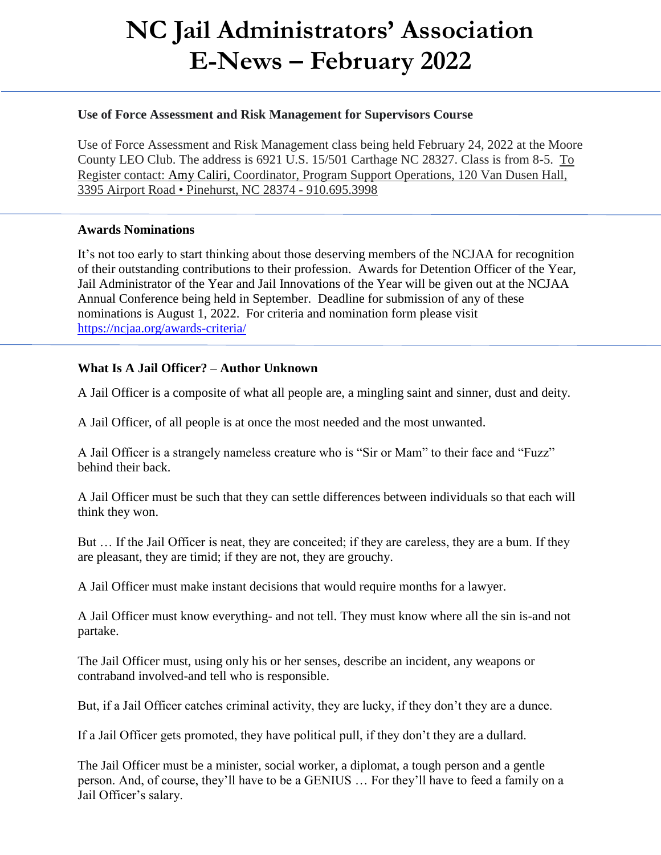# **NC Jail Administrators' Association E-News – February 2022**

#### **Use of Force Assessment and Risk Management for Supervisors Course**

Use of Force Assessment and Risk Management class being held February 24, 2022 at the Moore County LEO Club. The address is 6921 U.S. 15/501 Carthage NC 28327. Class is from 8-5. To Register contact: Amy Caliri, Coordinator, Program Support Operations, 120 Van Dusen Hall, 3395 Airport Road • Pinehurst, NC 28374 - 910.695.3998

#### **Awards Nominations**

It's not too early to start thinking about those deserving members of the NCJAA for recognition of their outstanding contributions to their profession. Awards for Detention Officer of the Year, Jail Administrator of the Year and Jail Innovations of the Year will be given out at the NCJAA Annual Conference being held in September. Deadline for submission of any of these nominations is August 1, 2022. For criteria and nomination form please visit <https://ncjaa.org/awards-criteria/>

#### **What Is A Jail Officer? – Author Unknown**

A Jail Officer is a composite of what all people are, a mingling saint and sinner, dust and deity.

A Jail Officer, of all people is at once the most needed and the most unwanted.

A Jail Officer is a strangely nameless creature who is "Sir or Mam" to their face and "Fuzz" behind their back.

A Jail Officer must be such that they can settle differences between individuals so that each will think they won.

But … If the Jail Officer is neat, they are conceited; if they are careless, they are a bum. If they are pleasant, they are timid; if they are not, they are grouchy.

A Jail Officer must make instant decisions that would require months for a lawyer.

A Jail Officer must know everything- and not tell. They must know where all the sin is-and not partake.

The Jail Officer must, using only his or her senses, describe an incident, any weapons or contraband involved-and tell who is responsible.

But, if a Jail Officer catches criminal activity, they are lucky, if they don't they are a dunce.

If a Jail Officer gets promoted, they have political pull, if they don't they are a dullard.

The Jail Officer must be a minister, social worker, a diplomat, a tough person and a gentle person. And, of course, they'll have to be a GENIUS … For they'll have to feed a family on a Jail Officer's salary.